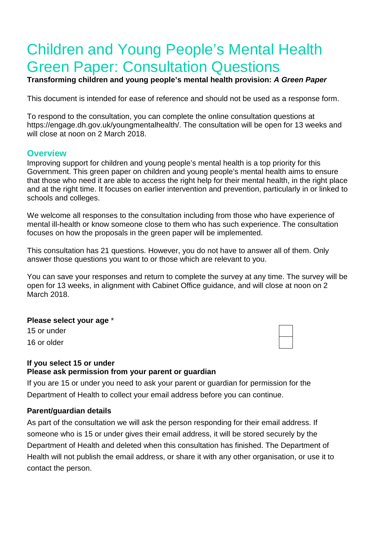# Children and Young People's Mental Health Green Paper: Consultation Questions

**Transforming children and young people's mental health provision:** *A Green Paper*

This document is intended for ease of reference and should not be used as a response form.

To respond to the consultation, you can complete the online consultation questions at https://engage.dh.gov.uk/youngmentalhealth/. The consultation will be open for 13 weeks and will close at noon on 2 March 2018.

## **Overview**

Improving support for children and young people's mental health is a top priority for this Government. This green paper on children and young people's mental health aims to ensure that those who need it are able to access the right help for their mental health, in the right place and at the right time. It focuses on earlier intervention and prevention, particularly in or linked to schools and colleges.

We welcome all responses to the consultation including from those who have experience of mental ill-health or know someone close to them who has such experience. The consultation focuses on how the proposals in the green paper will be implemented.

This consultation has 21 questions. However, you do not have to answer all of them. Only answer those questions you want to or those which are relevant to you.

You can save your responses and return to complete the survey at any time. The survey will be open for 13 weeks, in alignment with Cabinet Office guidance, and will close at noon on 2 March 2018.

#### **Please select your age** \*

15 or under 16 or older



#### **If you select 15 or under Please ask permission from your parent or guardian**

If you are 15 or under you need to ask your parent or guardian for permission for the Department of Health to collect your email address before you can continue.

#### **Parent/guardian details**

As part of the consultation we will ask the person responding for their email address. If someone who is 15 or under gives their email address, it will be stored securely by the Department of Health and deleted when this consultation has finished. The Department of Health will not publish the email address, or share it with any other organisation, or use it to contact the person.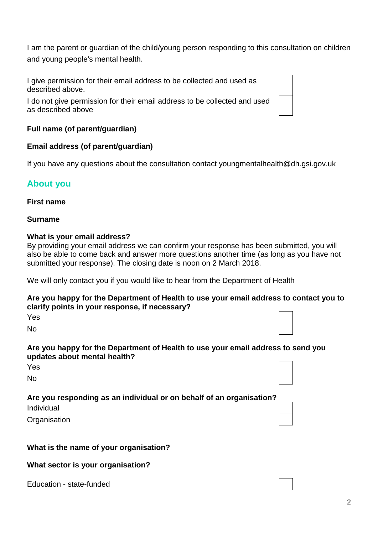I am the parent or guardian of the child/young person responding to this consultation on children and young people's mental health.

I give permission for their email address to be collected and used as described above.

I do not give permission for their email address to be collected and used as described above

# **Full name (of parent/guardian)**

# **Email address (of parent/guardian)**

If you have any questions about the consultation contact youngmentalhealth@dh.gsi.gov.uk

# **About you**

#### **First name**

#### **Surname**

#### **What is your email address?**

By providing your email address we can confirm your response has been submitted, you will also be able to come back and answer more questions another time (as long as you have not submitted your response). The closing date is noon on 2 March 2018.

We will only contact you if you would like to hear from the Department of Health

#### **Are you happy for the Department of Health to use your email address to contact you to clarify points in your response, if necessary?**

| ۰ |  |
|---|--|
|   |  |

No

#### **Are you happy for the Department of Health to use your email address to send you updates about mental health?**

No

# **Are you responding as an individual or on behalf of an organisation?**

Individual

**Organisation** 

# **What is the name of your organisation?**

#### **What sector is your organisation?**

Education - state-funded





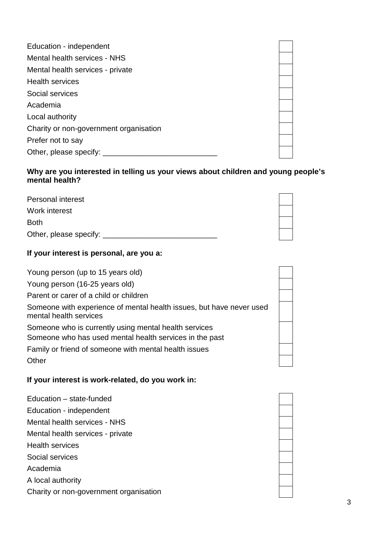| Education - independent                |
|----------------------------------------|
| Mental health services - NHS           |
| Mental health services - private       |
| <b>Health services</b>                 |
| Social services                        |
| Academia                               |
| Local authority                        |
| Charity or non-government organisation |
| Prefer not to say                      |
| Other, please specify:                 |

# **Why are you interested in telling us your views about children and young people's mental health?**

| <b>Personal interest</b> |  |
|--------------------------|--|
| Work interest            |  |
| <b>Both</b>              |  |
| Other, please specify:   |  |

# **If your interest is personal, are you a:**

| Young person (up to 15 years old)                                                                                                                                                  |
|------------------------------------------------------------------------------------------------------------------------------------------------------------------------------------|
| Young person (16-25 years old)                                                                                                                                                     |
| Parent or carer of a child or children                                                                                                                                             |
| Someone with experience of mental health issues, but have never used<br>mental health services                                                                                     |
| Someone who is currently using mental health services<br>Someone who has used mental health services in the past<br>Family or friend of someone with mental health issues<br>Other |

# **If your interest is work-related, do you work in:**

Education – state-funded Education - independent Mental health services - NHS Mental health services - private Health services Social services Academia A local authority Charity or non-government organisation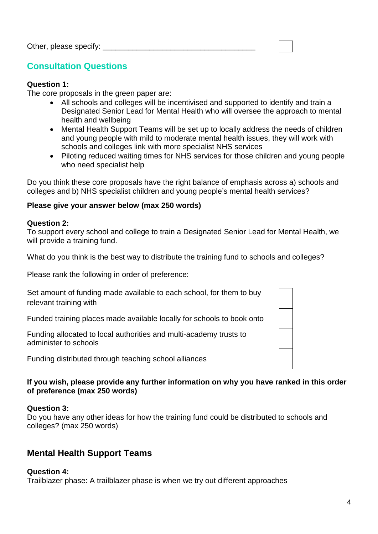# **Consultation Questions**

#### **Question 1:**

The core proposals in the green paper are:

- All schools and colleges will be incentivised and supported to identify and train a Designated Senior Lead for Mental Health who will oversee the approach to mental health and wellbeing
- Mental Health Support Teams will be set up to locally address the needs of children and young people with mild to moderate mental health issues, they will work with schools and colleges link with more specialist NHS services
- Piloting reduced waiting times for NHS services for those children and young people who need specialist help

Do you think these core proposals have the right balance of emphasis across a) schools and colleges and b) NHS specialist children and young people's mental health services?

## **Please give your answer below (max 250 words)**

#### **Question 2:**

To support every school and college to train a Designated Senior Lead for Mental Health, we will provide a training fund.

What do you think is the best way to distribute the training fund to schools and colleges?

Please rank the following in order of preference:

| Set amount of funding made available to each school, for them to buy |
|----------------------------------------------------------------------|
| relevant training with                                               |

Funded training places made available locally for schools to book onto

Funding allocated to local authorities and multi-academy trusts to administer to schools

Funding distributed through teaching school alliances

## **If you wish, please provide any further information on why you have ranked in this order of preference (max 250 words)**

#### **Question 3:**

Do you have any other ideas for how the training fund could be distributed to schools and colleges? (max 250 words)

# **Mental Health Support Teams**

#### **Question 4:**

Trailblazer phase: A trailblazer phase is when we try out different approaches

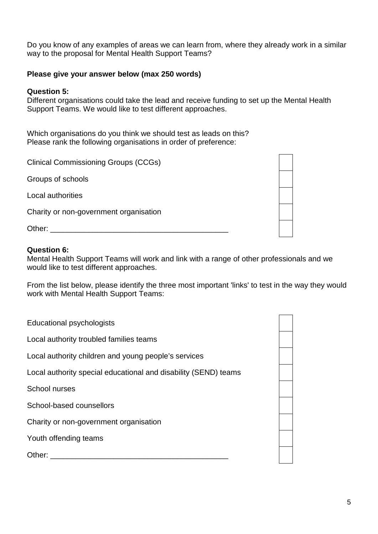Do you know of any examples of areas we can learn from, where they already work in a similar way to the proposal for Mental Health Support Teams?

#### **Please give your answer below (max 250 words)**

#### **Question 5:**

Different organisations could take the lead and receive funding to set up the Mental Health Support Teams. We would like to test different approaches.

Which organisations do you think we should test as leads on this? Please rank the following organisations in order of preference:

| <b>Clinical Commissioning Groups (CCGs)</b> |  |
|---------------------------------------------|--|
| Groups of schools                           |  |
| Local authorities                           |  |
| Charity or non-government organisation      |  |
| Other:                                      |  |

#### **Question 6:**

Mental Health Support Teams will work and link with a range of other professionals and we would like to test different approaches.

From the list below, please identify the three most important 'links' to test in the way they would work with Mental Health Support Teams:

| <b>Educational psychologists</b>                                |  |
|-----------------------------------------------------------------|--|
| Local authority troubled families teams                         |  |
| Local authority children and young people's services            |  |
| Local authority special educational and disability (SEND) teams |  |
| School nurses                                                   |  |
| School-based counsellors                                        |  |
| Charity or non-government organisation                          |  |
| Youth offending teams                                           |  |
| Other:                                                          |  |
|                                                                 |  |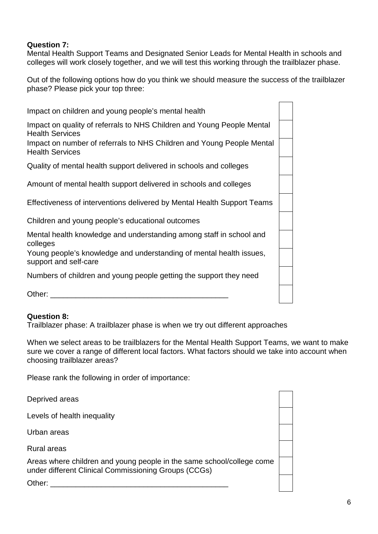# **Question 7:**

Mental Health Support Teams and Designated Senior Leads for Mental Health in schools and colleges will work closely together, and we will test this working through the trailblazer phase.

Out of the following options how do you think we should measure the success of the trailblazer phase? Please pick your top three:

| Impact on children and young people's mental health                                              |  |
|--------------------------------------------------------------------------------------------------|--|
| Impact on quality of referrals to NHS Children and Young People Mental<br><b>Health Services</b> |  |
| Impact on number of referrals to NHS Children and Young People Mental<br><b>Health Services</b>  |  |
| Quality of mental health support delivered in schools and colleges                               |  |
| Amount of mental health support delivered in schools and colleges                                |  |
| Effectiveness of interventions delivered by Mental Health Support Teams                          |  |
| Children and young people's educational outcomes                                                 |  |
| Mental health knowledge and understanding among staff in school and<br>colleges                  |  |
| Young people's knowledge and understanding of mental health issues,<br>support and self-care     |  |
| Numbers of children and young people getting the support they need                               |  |
| Other:                                                                                           |  |

# **Question 8:**

Trailblazer phase: A trailblazer phase is when we try out different approaches

When we select areas to be trailblazers for the Mental Health Support Teams, we want to make sure we cover a range of different local factors. What factors should we take into account when choosing trailblazer areas?

Please rank the following in order of importance:

Deprived areas

Levels of health inequality

Urban areas

Rural areas

Areas where children and young people in the same school/college come under different Clinical Commissioning Groups (CCGs)

Other:  $\qquad \qquad \qquad$ 

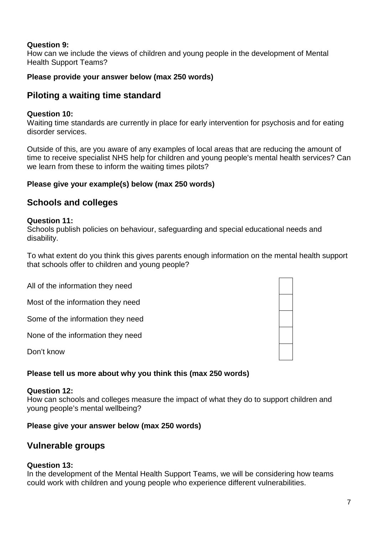# **Question 9:**

How can we include the views of children and young people in the development of Mental Health Support Teams?

# **Please provide your answer below (max 250 words)**

# **Piloting a waiting time standard**

# **Question 10:**

Waiting time standards are currently in place for early intervention for psychosis and for eating disorder services.

Outside of this, are you aware of any examples of local areas that are reducing the amount of time to receive specialist NHS help for children and young people's mental health services? Can we learn from these to inform the waiting times pilots?

# **Please give your example(s) below (max 250 words)**

# **Schools and colleges**

# **Question 11:**

Schools publish policies on behaviour, safeguarding and special educational needs and disability.

To what extent do you think this gives parents enough information on the mental health support that schools offer to children and young people?

All of the information they need

Most of the information they need

Some of the information they need

None of the information they need

Don't know

# **Please tell us more about why you think this (max 250 words)**

#### **Question 12:**

How can schools and colleges measure the impact of what they do to support children and young people's mental wellbeing?

# **Please give your answer below (max 250 words)**

# **Vulnerable groups**

# **Question 13:**

In the development of the Mental Health Support Teams, we will be considering how teams could work with children and young people who experience different vulnerabilities.

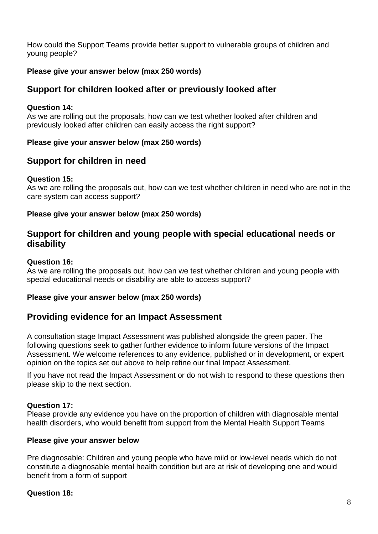How could the Support Teams provide better support to vulnerable groups of children and young people?

# **Please give your answer below (max 250 words)**

# **Support for children looked after or previously looked after**

## **Question 14:**

As we are rolling out the proposals, how can we test whether looked after children and previously looked after children can easily access the right support?

## **Please give your answer below (max 250 words)**

# **Support for children in need**

## **Question 15:**

As we are rolling the proposals out, how can we test whether children in need who are not in the care system can access support?

## **Please give your answer below (max 250 words)**

# **Support for children and young people with special educational needs or disability**

# **Question 16:**

As we are rolling the proposals out, how can we test whether children and young people with special educational needs or disability are able to access support?

#### **Please give your answer below (max 250 words)**

# **Providing evidence for an Impact Assessment**

A consultation stage Impact Assessment was published alongside the green paper. The following questions seek to gather further evidence to inform future versions of the Impact Assessment. We welcome references to any evidence, published or in development, or expert opinion on the topics set out above to help refine our final Impact Assessment.

If you have not read the Impact Assessment or do not wish to respond to these questions then please skip to the next section.

#### **Question 17:**

Please provide any evidence you have on the proportion of children with diagnosable mental health disorders, who would benefit from support from the Mental Health Support Teams

#### **Please give your answer below**

Pre diagnosable: Children and young people who have mild or low-level needs which do not constitute a diagnosable mental health condition but are at risk of developing one and would benefit from a form of support

# **Question 18:**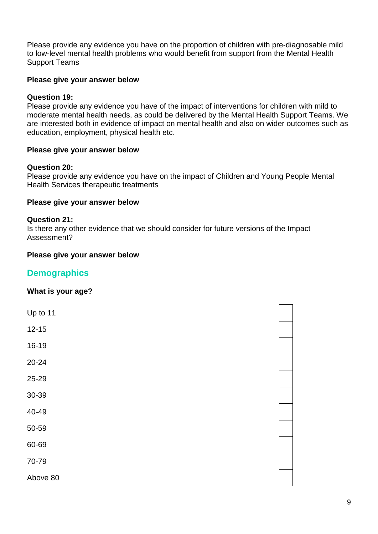Please provide any evidence you have on the proportion of children with pre-diagnosable mild to low-level mental health problems who would benefit from support from the Mental Health Support Teams

#### **Please give your answer below**

#### **Question 19:**

Please provide any evidence you have of the impact of interventions for children with mild to moderate mental health needs, as could be delivered by the Mental Health Support Teams. We are interested both in evidence of impact on mental health and also on wider outcomes such as education, employment, physical health etc.

#### **Please give your answer below**

#### **Question 20:**

Please provide any evidence you have on the impact of Children and Young People Mental Health Services therapeutic treatments

#### **Please give your answer below**

#### **Question 21:**

Is there any other evidence that we should consider for future versions of the Impact Assessment?

#### **Please give your answer below**

# **Demographics**

#### **What is your age?**

| Up to 11  |  |  |
|-----------|--|--|
| $12 - 15$ |  |  |
| 16-19     |  |  |
| 20-24     |  |  |
| 25-29     |  |  |
| 30-39     |  |  |
| 40-49     |  |  |
| 50-59     |  |  |
| 60-69     |  |  |
| 70-79     |  |  |
| Above 80  |  |  |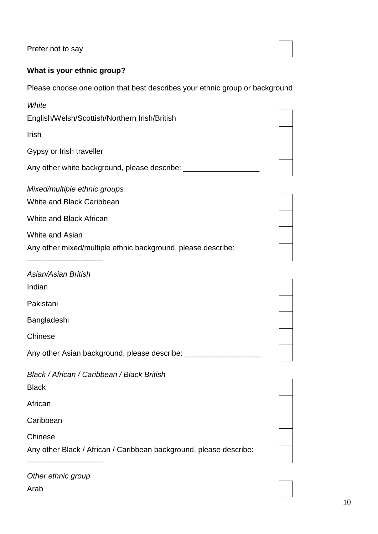Prefer not to say

# **What is your ethnic group?**

Please choose one option that best describes your ethnic group or background

| White                                                              |  |
|--------------------------------------------------------------------|--|
| English/Welsh/Scottish/Northern Irish/British                      |  |
| Irish                                                              |  |
| Gypsy or Irish traveller                                           |  |
| Any other white background, please describe: _______________       |  |
| Mixed/multiple ethnic groups                                       |  |
| White and Black Caribbean                                          |  |
| White and Black African                                            |  |
| White and Asian                                                    |  |
| Any other mixed/multiple ethnic background, please describe:       |  |
| <b>Asian/Asian British</b>                                         |  |
| Indian                                                             |  |
| Pakistani                                                          |  |
| Bangladeshi                                                        |  |
| Chinese                                                            |  |
| Any other Asian background, please describe: __________            |  |
| Black / African / Caribbean / Black British                        |  |
| <b>Black</b>                                                       |  |
| African                                                            |  |
| Caribbean                                                          |  |
| Chinese                                                            |  |
| Any other Black / African / Caribbean background, please describe: |  |
|                                                                    |  |

| Other ethnic group |  |
|--------------------|--|
| Arab               |  |